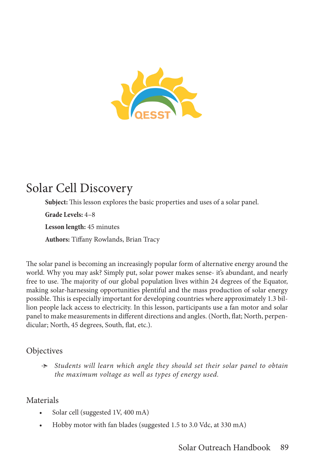

## Solar Cell Discovery

**Subject:** This lesson explores the basic properties and uses of a solar panel.

**Grade Levels:** 4–8

**Lesson length:** 45 minutes

**Authors:** Tiffany Rowlands, Brian Tracy

The solar panel is becoming an increasingly popular form of alternative energy around the world. Why you may ask? Simply put, solar power makes sense- it's abundant, and nearly free to use. The majority of our global population lives within 24 degrees of the Equator, making solar-harnessing opportunities plentiful and the mass production of solar energy possible. This is especially important for developing countries where approximately 1.3 billion people lack access to electricity. In this lesson, participants use a fan motor and solar panel to make measurements in different directions and angles. (North, flat; North, perpendicular; North, 45 degrees, South, flat, etc.).

## **Objectives**

Ӻ *Students will learn which angle they should set their solar panel to obtain the maximum voltage as well as types of energy used.*

## Materials

- Solar cell (suggested 1V, 400 mA)
- Hobby motor with fan blades (suggested 1.5 to 3.0 Vdc, at 330 mA)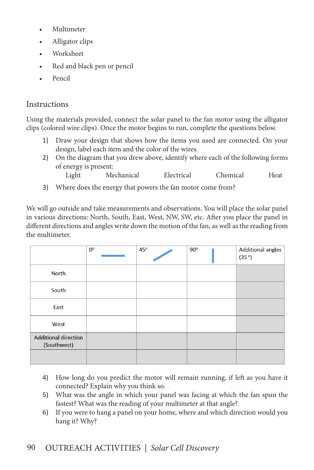- Multimeter
- Alligator clips
- Worksheet
- Red and black pen or pencil
- Pencil

## Instructions

Using the materials provided, connect the solar panel to the fan motor using the alligator clips (colored wire clips). Once the motor begins to run, complete the questions below.

- 1) Draw your design that shows how the items you used are connected. On your design, label each item and the color of the wires.
- 2) On the diagram that you drew above, identify where each of the following forms of energy is present:
	- Light Mechanical Electrical Chemical Heat
- 3) Where does the energy that powers the fan motor come from?

We will go outside and take measurements and observations. You will place the solar panel in various directions: North, South, East, West, NW, SW, etc. After you place the panel in different directions and angles write down the motion of the fan, as well as the reading from the multimeter.

|                                            | $0^{\circ}$ | 45° | $90^\circ$ | Additional angles<br>(35°) |
|--------------------------------------------|-------------|-----|------------|----------------------------|
| North                                      |             |     |            |                            |
| South                                      |             |     |            |                            |
| East                                       |             |     |            |                            |
| West                                       |             |     |            |                            |
| <b>Additional direction</b><br>(Southwest) |             |     |            |                            |
|                                            |             |     |            |                            |

- 4) How long do you predict the motor will remain running, if left as you have it connected? Explain why you think so.
- 5) What was the angle in which your panel was facing at which the fan spun the fastest? What was the reading of your multimeter at that angle?
- 6) If you were to hang a panel on your home, where and which direction would you hang it? Why?